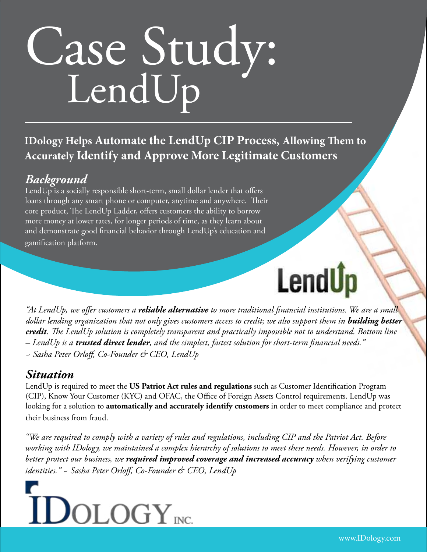# Case Study: LendUp

### **IDology Helps Automate the LendUp CIP Process, Allowing hem to Accurately Identify and Approve More Legitimate Customers**

## *Background*

[LendUp](http://lendup.com) is a socially responsible short-term, small dollar lender that offers loans through any smart phone or computer, anytime and anywhere. Their core product, The LendUp Ladder, offers customers the ability to borrow more money at lower rates, for longer periods of time, as they learn about and demonstrate good financial behavior through LendUp's education and gamification platform.

*"At LendUp, we ofer customers a reliable alternative to more traditional inancial institutions. We are a small dollar lending organization that not only gives customers access to credit; we also support them in building better*  credit. The LendUp solution is completely transparent and practically impossible not to understand. Bottom line *– LendUp is a trusted direct lender, and the simplest, fastest solution for short-term inancial needs." ~ Sasha Peter Orlof, Co-Founder & CEO, LendUp*

LendU

### *Situation*

LendUp is required to meet the **US Patriot Act rules and regulations** such as Customer Identiication Program (CIP), Know Your Customer (KYC) and OFAC, the Office of Foreign Assets Control requirements. LendUp was looking for a solution to **automatically and accurately identify customers** in order to meet compliance and protect their business from fraud.

*"We are required to comply with a variety of rules and regulations, including CIP and the Patriot Act. Before working with IDology, we maintained a complex hierarchy of solutions to meet these needs. However, in order to better protect our business, we required improved coverage and increased accuracy when verifying customer identities." ~ Sasha Peter Orlof, Co-Founder & CEO, LendUp*